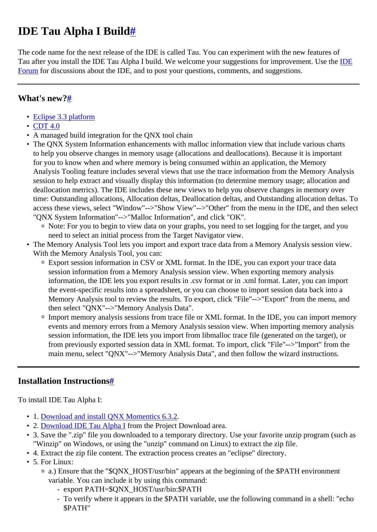# <span id="page-0-0"></span>**IDE Tau Alpha I Buil[d#](#page-0-0)**

The code name for the next release of the IDE is called Tau. You can experiment with the new features of Tau after you install the IDE Tau Alpha I build. We welcome your suggestions for improvement. Use the [IDE](http://community.qnx.com/sf/discussion/do/listTopics/projects.ide/discussion.ide) [Forum](http://community.qnx.com/sf/discussion/do/listTopics/projects.ide/discussion.ide) for discussions about the IDE, and to post your questions, comments, and suggestions.

#### <span id="page-0-1"></span>**What's new?[#](#page-0-1)**

- [Eclipse 3.3 platform](http://download.eclipse.org/eclipse/downloads/drops/R-3.3-200706251500/whatsnew/eclipse-news.html)
- [CDT 4.0](http://community.qnx.com/sf/wiki/do/viewPage/projects.ide/wiki/Whats_New_CDT_4_0)
- A managed build integration for the QNX tool chain
- The QNX System Information enhancements with malloc information view that include various charts to help you observe changes in memory usage (allocations and deallocations). Because it is important for you to know when and where memory is being consumed within an application, the Memory Analysis Tooling feature includes several views that use the trace information from the Memory Analysis session to help extract and visually display this information (to determine memory usage; allocation and deallocation metrics). The IDE includes these new views to help you observe changes in memory over time: Outstanding allocations, Allocation deltas, Deallocation deltas, and Outstanding allocation deltas. To access these views, select "Window"-->"Show View"-->"Other" from the menu in the IDE, and then select "QNX System Information"-->"Malloc Information", and click "OK".
	- <sup>o</sup> Note: For you to begin to view data on your graphs, you need to set logging for the target, and you need to select an initial process from the Target Navigator view.
- The Memory Analysis Tool lets you import and export trace data from a Memory Analysis session view. With the Memory Analysis Tool, you can:
	- <sup>o</sup> Export session information in CSV or XML format. In the IDE, you can export your trace data session information from a Memory Analysis session view. When exporting memory analysis information, the IDE lets you export results in .csv format or in .xml format. Later, you can import the event-specific results into a spreadsheet, or you can choose to import session data back into a Memory Analysis tool to review the results. To export, click "File"-->"Export" from the menu, and then select "QNX"-->"Memory Analysis Data".
	- <sup>o</sup> Import memory analysis sessions from trace file or XML format. In the IDE, you can import memory events and memory errors from a Memory Analysis session view. When importing memory analysis session information, the IDE lets you import from libmalloc trace file (generated on the target), or from previously exported session data in XML format. To import, click "File"-->"Import" from the main menu, select "QNX"-->"Memory Analysis Data", and then follow the wizard instructions.

### <span id="page-0-2"></span>**Installation Instruction[s#](#page-0-2)**

To install IDE Tau Alpha I:

- 1. [Download and install QNX Momentics 6.3.2.](http://www.qnx.com/products/getmomentics/)
- 2. [Download IDE Tau Alpha I](http://community.qnx.com/sf/frs/do/listReleases/projects.ide/frs.ide) from the Project Download area.
- 3. Save the ".zip" file you downloaded to a temporary directory. Use your favorite unzip program (such as "Winzip" on Windows, or using the "unzip" command on Linux) to extract the zip file.
- 4. Extract the zip file content. The extraction process creates an "eclipse" directory.
- 5. For Linux:
	- <sup>o</sup> a.) Ensure that the "\$QNX\_HOST/usr/bin" appears at the beginning of the \$PATH environment variable. You can include it by using this command:
		- export PATH=\$QNX\_HOST/usr/bin:\$PATH
		- To verify where it appears in the \$PATH variable, use the following command in a shell: "echo \$PATH"